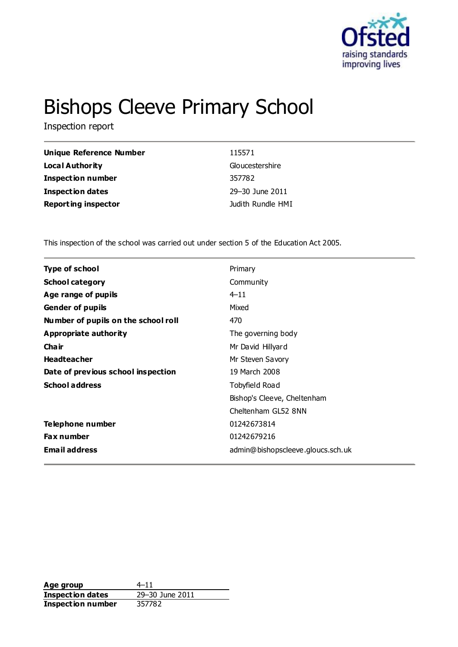

# Bishops Cleeve Primary School

Inspection report

| Unique Reference Number    | 115571            |
|----------------------------|-------------------|
| Local Authority            | Gloucestershire   |
| <b>Inspection number</b>   | 357782            |
| <b>Inspection dates</b>    | 29-30 June 2011   |
| <b>Reporting inspector</b> | Judith Rundle HMI |

This inspection of the school was carried out under section 5 of the Education Act 2005.

| <b>Type of school</b>               | Primary                           |
|-------------------------------------|-----------------------------------|
| <b>School category</b>              | Community                         |
| Age range of pupils                 | $4 - 11$                          |
| <b>Gender of pupils</b>             | Mixed                             |
| Number of pupils on the school roll | 470                               |
| <b>Appropriate authority</b>        | The governing body                |
| Cha ir                              | Mr David Hillyard                 |
| <b>Headteacher</b>                  | Mr Steven Savory                  |
| Date of previous school inspection  | 19 March 2008                     |
| <b>School address</b>               | Tobyfield Road                    |
|                                     | Bishop's Cleeve, Cheltenham       |
|                                     | Cheltenham GL52 8NN               |
| Telephone number                    | 01242673814                       |
| <b>Fax number</b>                   | 01242679216                       |
| <b>Email address</b>                | admin@bishopscleeve.gloucs.sch.uk |

**Age group** 4–11<br> **Inspection dates** 29–30 June 2011 **Inspection dates Inspection number** 357782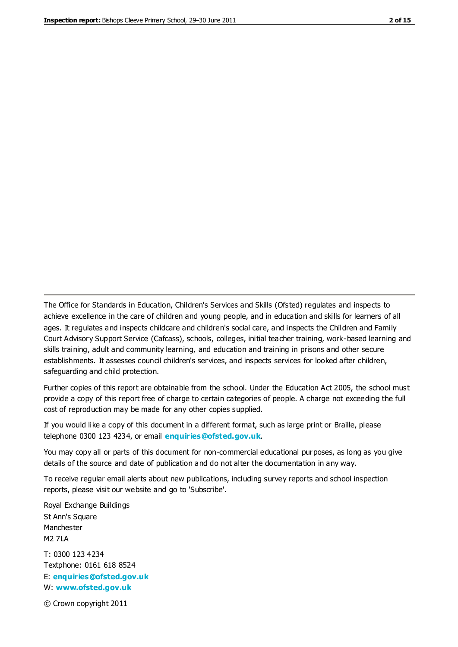The Office for Standards in Education, Children's Services and Skills (Ofsted) regulates and inspects to achieve excellence in the care of children and young people, and in education and skills for learners of all ages. It regulates and inspects childcare and children's social care, and inspects the Children and Family Court Advisory Support Service (Cafcass), schools, colleges, initial teacher training, work-based learning and skills training, adult and community learning, and education and training in prisons and other secure establishments. It assesses council children's services, and inspects services for looked after children, safeguarding and child protection.

Further copies of this report are obtainable from the school. Under the Education Act 2005, the school must provide a copy of this report free of charge to certain categories of people. A charge not exceeding the full cost of reproduction may be made for any other copies supplied.

If you would like a copy of this document in a different format, such as large print or Braille, please telephone 0300 123 4234, or email **[enquiries@ofsted.gov.uk](mailto:enquiries@ofsted.gov.uk)**.

You may copy all or parts of this document for non-commercial educational purposes, as long as you give details of the source and date of publication and do not alter the documentation in any way.

To receive regular email alerts about new publications, including survey reports and school inspection reports, please visit our website and go to 'Subscribe'.

Royal Exchange Buildings St Ann's Square Manchester M2 7LA T: 0300 123 4234 Textphone: 0161 618 8524 E: **[enquiries@ofsted.gov.uk](mailto:enquiries@ofsted.gov.uk)**

W: **[www.ofsted.gov.uk](http://www.ofsted.gov.uk/)**

© Crown copyright 2011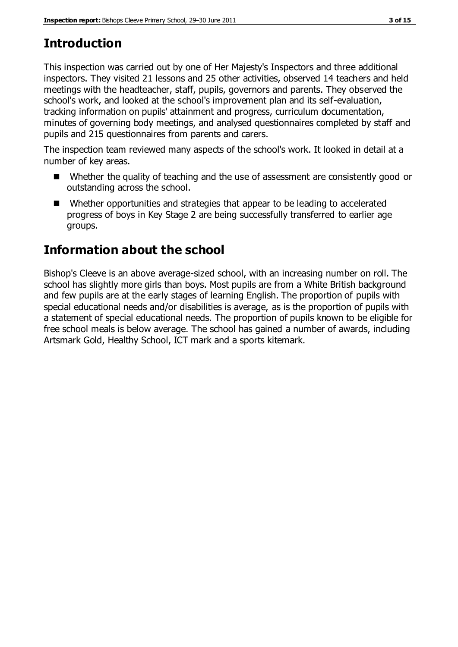# **Introduction**

This inspection was carried out by one of Her Majesty's Inspectors and three additional inspectors. They visited 21 lessons and 25 other activities, observed 14 teachers and held meetings with the headteacher, staff, pupils, governors and parents. They observed the school's work, and looked at the school's improvement plan and its self-evaluation, tracking information on pupils' attainment and progress, curriculum documentation, minutes of governing body meetings, and analysed questionnaires completed by staff and pupils and 215 questionnaires from parents and carers.

The inspection team reviewed many aspects of the school's work. It looked in detail at a number of key areas.

- Whether the quality of teaching and the use of assessment are consistently good or outstanding across the school.
- Whether opportunities and strategies that appear to be leading to accelerated progress of boys in Key Stage 2 are being successfully transferred to earlier age groups.

# **Information about the school**

Bishop's Cleeve is an above average-sized school, with an increasing number on roll. The school has slightly more girls than boys. Most pupils are from a White British background and few pupils are at the early stages of learning English. The proportion of pupils with special educational needs and/or disabilities is average, as is the proportion of pupils with a statement of special educational needs. The proportion of pupils known to be eligible for free school meals is below average. The school has gained a number of awards, including Artsmark Gold, Healthy School, ICT mark and a sports kitemark.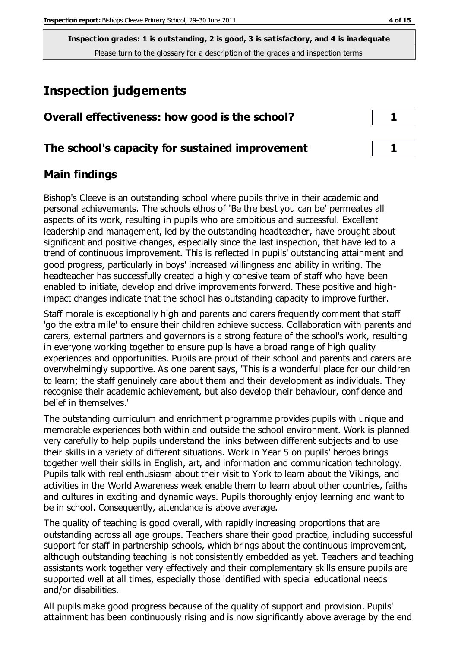## **Inspection judgements**

| Overall effectiveness: how good is the school? |  |
|------------------------------------------------|--|
|------------------------------------------------|--|

### **The school's capacity for sustained improvement 1**

### **Main findings**

Bishop's Cleeve is an outstanding school where pupils thrive in their academic and personal achievements. The schools ethos of 'Be the best you can be' permeates all aspects of its work, resulting in pupils who are ambitious and successful. Excellent leadership and management, led by the outstanding headteacher, have brought about significant and positive changes, especially since the last inspection, that have led to a trend of continuous improvement. This is reflected in pupils' outstanding attainment and good progress, particularly in boys' increased willingness and ability in writing. The headteacher has successfully created a highly cohesive team of staff who have been enabled to initiate, develop and drive improvements forward. These positive and highimpact changes indicate that the school has outstanding capacity to improve further.

Staff morale is exceptionally high and parents and carers frequently comment that staff 'go the extra mile' to ensure their children achieve success. Collaboration with parents and carers, external partners and governors is a strong feature of the school's work, resulting in everyone working together to ensure pupils have a broad range of high quality experiences and opportunities. Pupils are proud of their school and parents and carers are overwhelmingly supportive. As one parent says, 'This is a wonderful place for our children to learn; the staff genuinely care about them and their development as individuals. They recognise their academic achievement, but also develop their behaviour, confidence and belief in themselves.'

The outstanding curriculum and enrichment programme provides pupils with unique and memorable experiences both within and outside the school environment. Work is planned very carefully to help pupils understand the links between different subjects and to use their skills in a variety of different situations. Work in Year 5 on pupils' heroes brings together well their skills in English, art, and information and communication technology. Pupils talk with real enthusiasm about their visit to York to learn about the Vikings, and activities in the World Awareness week enable them to learn about other countries, faiths and cultures in exciting and dynamic ways. Pupils thoroughly enjoy learning and want to be in school. Consequently, attendance is above average.

The quality of teaching is good overall, with rapidly increasing proportions that are outstanding across all age groups. Teachers share their good practice, including successful support for staff in partnership schools, which brings about the continuous improvement, although outstanding teaching is not consistently embedded as yet. Teachers and teaching assistants work together very effectively and their complementary skills ensure pupils are supported well at all times, especially those identified with special educational needs and/or disabilities.

All pupils make good progress because of the quality of support and provision. Pupils' attainment has been continuously rising and is now significantly above average by the end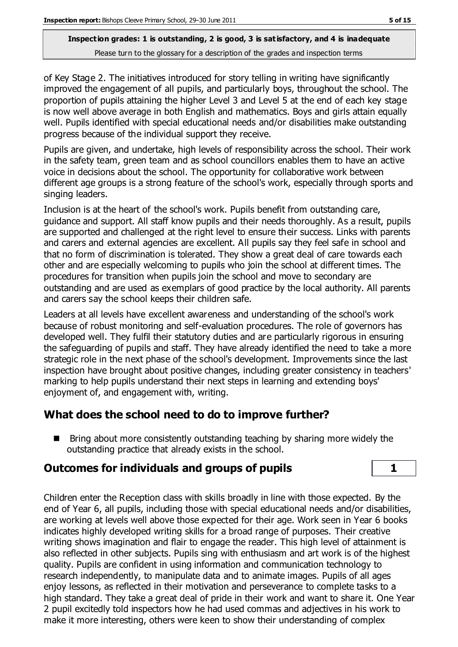of Key Stage 2. The initiatives introduced for story telling in writing have significantly improved the engagement of all pupils, and particularly boys, throughout the school. The proportion of pupils attaining the higher Level 3 and Level 5 at the end of each key stage is now well above average in both English and mathematics. Boys and girls attain equally well. Pupils identified with special educational needs and/or disabilities make outstanding progress because of the individual support they receive.

Pupils are given, and undertake, high levels of responsibility across the school. Their work in the safety team, green team and as school councillors enables them to have an active voice in decisions about the school. The opportunity for collaborative work between different age groups is a strong feature of the school's work, especially through sports and singing leaders.

Inclusion is at the heart of the school's work. Pupils benefit from outstanding care, guidance and support. All staff know pupils and their needs thoroughly. As a result, pupils are supported and challenged at the right level to ensure their success. Links with parents and carers and external agencies are excellent. All pupils say they feel safe in school and that no form of discrimination is tolerated. They show a great deal of care towards each other and are especially welcoming to pupils who join the school at different times. The procedures for transition when pupils join the school and move to secondary are outstanding and are used as exemplars of good practice by the local authority. All parents and carers say the school keeps their children safe.

Leaders at all levels have excellent awareness and understanding of the school's work because of robust monitoring and self-evaluation procedures. The role of governors has developed well. They fulfil their statutory duties and are particularly rigorous in ensuring the safeguarding of pupils and staff. They have already identified the need to take a more strategic role in the next phase of the school's development. Improvements since the last inspection have brought about positive changes, including greater consistency in teachers' marking to help pupils understand their next steps in learning and extending boys' enjoyment of, and engagement with, writing.

## **What does the school need to do to improve further?**

 $\blacksquare$  Bring about more consistently outstanding teaching by sharing more widely the outstanding practice that already exists in the school.

## **Outcomes for individuals and groups of pupils 1**

Children enter the Reception class with skills broadly in line with those expected. By the end of Year 6, all pupils, including those with special educational needs and/or disabilities, are working at levels well above those expected for their age. Work seen in Year 6 books indicates highly developed writing skills for a broad range of purposes. Their creative writing shows imagination and flair to engage the reader. This high level of attainment is also reflected in other subjects. Pupils sing with enthusiasm and art work is of the highest quality. Pupils are confident in using information and communication technology to research independently, to manipulate data and to animate images. Pupils of all ages enjoy lessons, as reflected in their motivation and perseverance to complete tasks to a high standard. They take a great deal of pride in their work and want to share it. One Year 2 pupil excitedly told inspectors how he had used commas and adjectives in his work to make it more interesting, others were keen to show their understanding of complex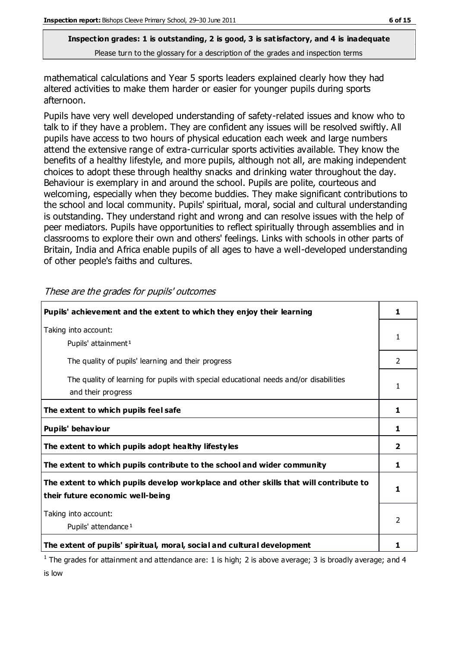mathematical calculations and Year 5 sports leaders explained clearly how they had altered activities to make them harder or easier for younger pupils during sports afternoon.

Pupils have very well developed understanding of safety-related issues and know who to talk to if they have a problem. They are confident any issues will be resolved swiftly. All pupils have access to two hours of physical education each week and large numbers attend the extensive range of extra-curricular sports activities available. They know the benefits of a healthy lifestyle, and more pupils, although not all, are making independent choices to adopt these through healthy snacks and drinking water throughout the day. Behaviour is exemplary in and around the school. Pupils are polite, courteous and welcoming, especially when they become buddies. They make significant contributions to the school and local community. Pupils' spiritual, moral, social and cultural understanding is outstanding. They understand right and wrong and can resolve issues with the help of peer mediators. Pupils have opportunities to reflect spiritually through assemblies and in classrooms to explore their own and others' feelings. Links with schools in other parts of Britain, India and Africa enable pupils of all ages to have a well-developed understanding of other people's faiths and cultures.

| Pupils' achievement and the extent to which they enjoy their learning                                                     | 1             |
|---------------------------------------------------------------------------------------------------------------------------|---------------|
| Taking into account:<br>Pupils' attainment <sup>1</sup>                                                                   | 1             |
| The quality of pupils' learning and their progress                                                                        | $\mathcal{L}$ |
| The quality of learning for pupils with special educational needs and/or disabilities<br>and their progress               |               |
| The extent to which pupils feel safe                                                                                      | 1             |
| Pupils' behaviour                                                                                                         | 1.            |
| The extent to which pupils adopt healthy lifestyles                                                                       | 2             |
| The extent to which pupils contribute to the school and wider community                                                   | 1             |
| The extent to which pupils develop workplace and other skills that will contribute to<br>their future economic well-being |               |
| Taking into account:<br>Pupils' attendance <sup>1</sup>                                                                   | 2             |
| The extent of pupils' spiritual, moral, social and cultural development                                                   |               |

These are the grades for pupils' outcomes

<sup>1</sup> The grades for attainment and attendance are: 1 is high; 2 is above average; 3 is broadly average; and 4 is low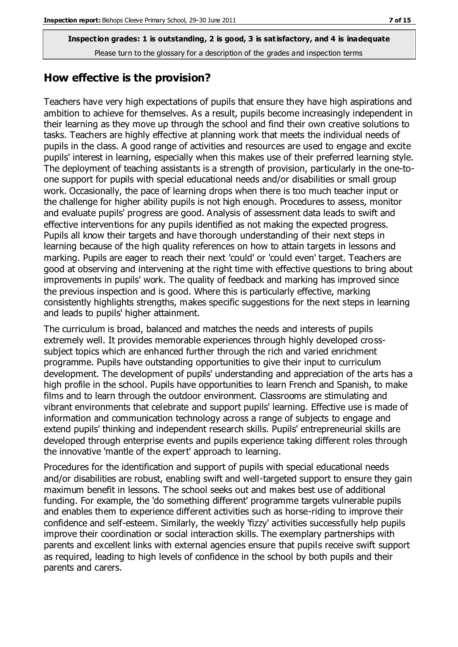#### **How effective is the provision?**

Teachers have very high expectations of pupils that ensure they have high aspirations and ambition to achieve for themselves. As a result, pupils become increasingly independent in their learning as they move up through the school and find their own creative solutions to tasks. Teachers are highly effective at planning work that meets the individual needs of pupils in the class. A good range of activities and resources are used to engage and excite pupils' interest in learning, especially when this makes use of their preferred learning style. The deployment of teaching assistants is a strength of provision, particularly in the one-toone support for pupils with special educational needs and/or disabilities or small group work. Occasionally, the pace of learning drops when there is too much teacher input or the challenge for higher ability pupils is not high enough. Procedures to assess, monitor and evaluate pupils' progress are good. Analysis of assessment data leads to swift and effective interventions for any pupils identified as not making the expected progress. Pupils all know their targets and have thorough understanding of their next steps in learning because of the high quality references on how to attain targets in lessons and marking. Pupils are eager to reach their next 'could' or 'could even' target. Teachers are good at observing and intervening at the right time with effective questions to bring about improvements in pupils' work. The quality of feedback and marking has improved since the previous inspection and is good. Where this is particularly effective, marking consistently highlights strengths, makes specific suggestions for the next steps in learning and leads to pupils' higher attainment.

The curriculum is broad, balanced and matches the needs and interests of pupils extremely well. It provides memorable experiences through highly developed crosssubject topics which are enhanced further through the rich and varied enrichment programme. Pupils have outstanding opportunities to give their input to curriculum development. The development of pupils' understanding and appreciation of the arts has a high profile in the school. Pupils have opportunities to learn French and Spanish, to make films and to learn through the outdoor environment. Classrooms are stimulating and vibrant environments that celebrate and support pupils' learning. Effective use is made of information and communication technology across a range of subjects to engage and extend pupils' thinking and independent research skills. Pupils' entrepreneurial skills are developed through enterprise events and pupils experience taking different roles through the innovative 'mantle of the expert' approach to learning.

Procedures for the identification and support of pupils with special educational needs and/or disabilities are robust, enabling swift and well-targeted support to ensure they gain maximum benefit in lessons. The school seeks out and makes best use of additional funding. For example, the 'do something different' programme targets vulnerable pupils and enables them to experience different activities such as horse-riding to improve their confidence and self-esteem. Similarly, the weekly 'fizzy' activities successfully help pupils improve their coordination or social interaction skills. The exemplary partnerships with parents and excellent links with external agencies ensure that pupils receive swift support as required, leading to high levels of confidence in the school by both pupils and their parents and carers.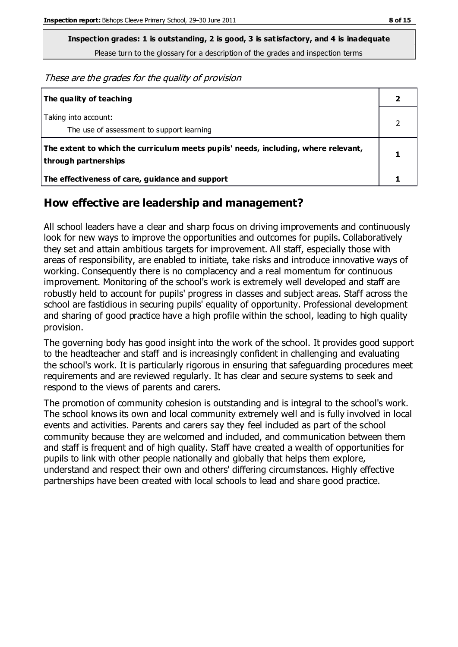**Inspection grades: 1 is outstanding, 2 is good, 3 is satisfactory, and 4 is inadequate**

Please turn to the glossary for a description of the grades and inspection terms

These are the grades for the quality of provision

| The quality of teaching                                                                                    |  |
|------------------------------------------------------------------------------------------------------------|--|
| Taking into account:<br>The use of assessment to support learning                                          |  |
| The extent to which the curriculum meets pupils' needs, including, where relevant,<br>through partnerships |  |
| The effectiveness of care, guidance and support                                                            |  |

#### **How effective are leadership and management?**

All school leaders have a clear and sharp focus on driving improvements and continuously look for new ways to improve the opportunities and outcomes for pupils. Collaboratively they set and attain ambitious targets for improvement. All staff, especially those with areas of responsibility, are enabled to initiate, take risks and introduce innovative ways of working. Consequently there is no complacency and a real momentum for continuous improvement. Monitoring of the school's work is extremely well developed and staff are robustly held to account for pupils' progress in classes and subject areas. Staff across the school are fastidious in securing pupils' equality of opportunity. Professional development and sharing of good practice have a high profile within the school, leading to high quality provision.

The governing body has good insight into the work of the school. It provides good support to the headteacher and staff and is increasingly confident in challenging and evaluating the school's work. It is particularly rigorous in ensuring that safeguarding procedures meet requirements and are reviewed regularly. It has clear and secure systems to seek and respond to the views of parents and carers.

The promotion of community cohesion is outstanding and is integral to the school's work. The school knows its own and local community extremely well and is fully involved in local events and activities. Parents and carers say they feel included as part of the school community because they are welcomed and included, and communication between them and staff is frequent and of high quality. Staff have created a wealth of opportunities for pupils to link with other people nationally and globally that helps them explore, understand and respect their own and others' differing circumstances. Highly effective partnerships have been created with local schools to lead and share good practice.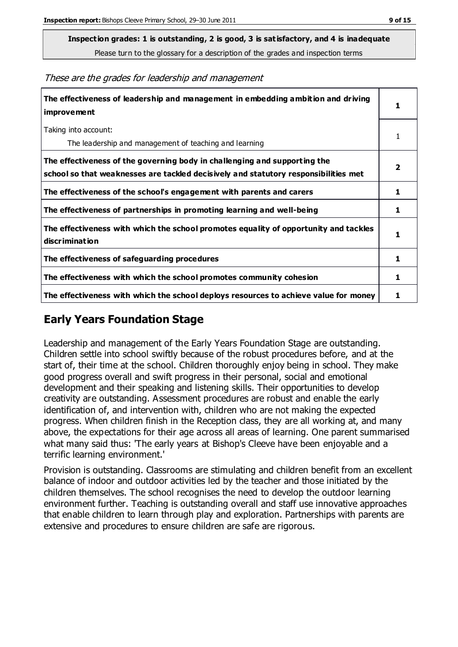**Inspection grades: 1 is outstanding, 2 is good, 3 is satisfactory, and 4 is inadequate**

Please turn to the glossary for a description of the grades and inspection terms

These are the grades for leadership and management

| The effectiveness of leadership and management in embedding ambition and driving<br>improvement                                                                  | 1 |
|------------------------------------------------------------------------------------------------------------------------------------------------------------------|---|
| Taking into account:<br>The leadership and management of teaching and learning                                                                                   |   |
| The effectiveness of the governing body in challenging and supporting the<br>school so that weaknesses are tackled decisively and statutory responsibilities met | 2 |
| The effectiveness of the school's engagement with parents and carers                                                                                             | 1 |
| The effectiveness of partnerships in promoting learning and well-being                                                                                           | 1 |
| The effectiveness with which the school promotes equality of opportunity and tackles<br>discrimination                                                           | 1 |
| The effectiveness of safeguarding procedures                                                                                                                     | 1 |
| The effectiveness with which the school promotes community cohesion                                                                                              | 1 |
| The effectiveness with which the school deploys resources to achieve value for money                                                                             | 1 |

### **Early Years Foundation Stage**

Leadership and management of the Early Years Foundation Stage are outstanding. Children settle into school swiftly because of the robust procedures before, and at the start of, their time at the school. Children thoroughly enjoy being in school. They make good progress overall and swift progress in their personal, social and emotional development and their speaking and listening skills. Their opportunities to develop creativity are outstanding. Assessment procedures are robust and enable the early identification of, and intervention with, children who are not making the expected progress. When children finish in the Reception class, they are all working at, and many above, the expectations for their age across all areas of learning. One parent summarised what many said thus: 'The early years at Bishop's Cleeve have been enjoyable and a terrific learning environment.'

Provision is outstanding. Classrooms are stimulating and children benefit from an excellent balance of indoor and outdoor activities led by the teacher and those initiated by the children themselves. The school recognises the need to develop the outdoor learning environment further. Teaching is outstanding overall and staff use innovative approaches that enable children to learn through play and exploration. Partnerships with parents are extensive and procedures to ensure children are safe are rigorous.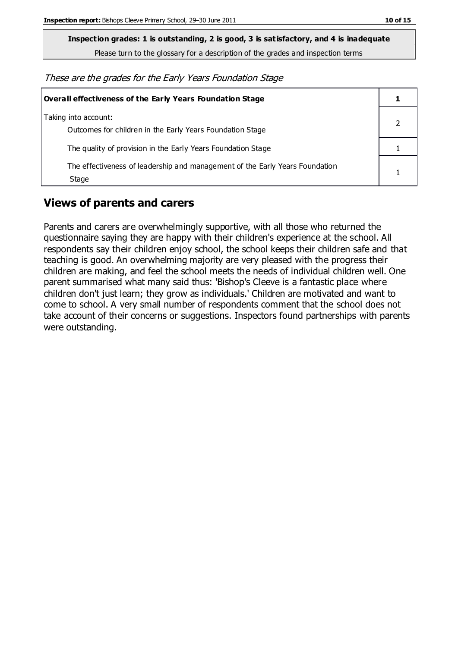**Inspection grades: 1 is outstanding, 2 is good, 3 is satisfactory, and 4 is inadequate**

Please turn to the glossary for a description of the grades and inspection terms

These are the grades for the Early Years Foundation Stage

| Overall effectiveness of the Early Years Foundation Stage                             |  |
|---------------------------------------------------------------------------------------|--|
| Taking into account:<br>Outcomes for children in the Early Years Foundation Stage     |  |
| The quality of provision in the Early Years Foundation Stage                          |  |
| The effectiveness of leadership and management of the Early Years Foundation<br>Stage |  |

### **Views of parents and carers**

Parents and carers are overwhelmingly supportive, with all those who returned the questionnaire saying they are happy with their children's experience at the school. All respondents say their children enjoy school, the school keeps their children safe and that teaching is good. An overwhelming majority are very pleased with the progress their children are making, and feel the school meets the needs of individual children well. One parent summarised what many said thus: 'Bishop's Cleeve is a fantastic place where children don't just learn; they grow as individuals.' Children are motivated and want to come to school. A very small number of respondents comment that the school does not take account of their concerns or suggestions. Inspectors found partnerships with parents were outstanding.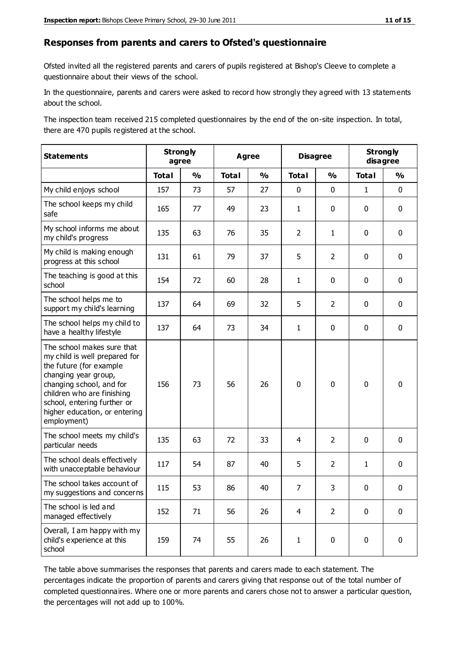#### **Responses from parents and carers to Ofsted's questionnaire**

Ofsted invited all the registered parents and carers of pupils registered at Bishop's Cleeve to complete a questionnaire about their views of the school.

In the questionnaire, parents and carers were asked to record how strongly they agreed with 13 statements about the school.

The inspection team received 215 completed questionnaires by the end of the on-site inspection. In total, there are 470 pupils registered at the school.

| <b>Statements</b>                                                                                                                                                                                                                                       |              | <b>Strongly</b><br>agree |              | <b>Disagree</b><br><b>Agree</b> |                | <b>Strongly</b><br>disagree |              |               |
|---------------------------------------------------------------------------------------------------------------------------------------------------------------------------------------------------------------------------------------------------------|--------------|--------------------------|--------------|---------------------------------|----------------|-----------------------------|--------------|---------------|
|                                                                                                                                                                                                                                                         | <b>Total</b> | $\frac{1}{2}$            | <b>Total</b> | $\frac{1}{2}$                   | <b>Total</b>   | $\frac{1}{2}$               | <b>Total</b> | $\frac{1}{2}$ |
| My child enjoys school                                                                                                                                                                                                                                  | 157          | 73                       | 57           | 27                              | 0              | $\mathbf 0$                 | $\mathbf{1}$ | $\mathbf 0$   |
| The school keeps my child<br>safe                                                                                                                                                                                                                       | 165          | 77                       | 49           | 23                              | $\mathbf{1}$   | $\mathbf 0$                 | $\mathbf 0$  | $\mathbf 0$   |
| My school informs me about<br>my child's progress                                                                                                                                                                                                       | 135          | 63                       | 76           | 35                              | $\overline{2}$ | $\mathbf{1}$                | $\mathbf 0$  | $\mathbf 0$   |
| My child is making enough<br>progress at this school                                                                                                                                                                                                    | 131          | 61                       | 79           | 37                              | 5              | $\overline{2}$              | $\mathbf 0$  | $\mathbf 0$   |
| The teaching is good at this<br>school                                                                                                                                                                                                                  | 154          | 72                       | 60           | 28                              | $\mathbf{1}$   | $\mathbf 0$                 | $\mathbf 0$  | $\mathbf 0$   |
| The school helps me to<br>support my child's learning                                                                                                                                                                                                   | 137          | 64                       | 69           | 32                              | 5              | $\overline{2}$              | $\mathbf 0$  | $\mathbf 0$   |
| The school helps my child to<br>have a healthy lifestyle                                                                                                                                                                                                | 137          | 64                       | 73           | 34                              | $\mathbf{1}$   | $\mathbf 0$                 | $\mathbf 0$  | $\mathbf 0$   |
| The school makes sure that<br>my child is well prepared for<br>the future (for example<br>changing year group,<br>changing school, and for<br>children who are finishing<br>school, entering further or<br>higher education, or entering<br>employment) | 156          | 73                       | 56           | 26                              | $\mathbf 0$    | $\mathbf 0$                 | $\mathbf 0$  | $\mathbf 0$   |
| The school meets my child's<br>particular needs                                                                                                                                                                                                         | 135          | 63                       | 72           | 33                              | 4              | $\overline{2}$              | $\mathbf 0$  | $\mathbf 0$   |
| The school deals effectively<br>with unacceptable behaviour                                                                                                                                                                                             | 117          | 54                       | 87           | 40                              | 5              | $\overline{2}$              | $\mathbf{1}$ | $\pmb{0}$     |
| The school takes account of<br>my suggestions and concerns                                                                                                                                                                                              | 115          | 53                       | 86           | 40                              | $\overline{7}$ | 3                           | $\Omega$     | 0             |
| The school is led and<br>managed effectively                                                                                                                                                                                                            | 152          | 71                       | 56           | 26                              | $\overline{4}$ | $\overline{2}$              | $\mathbf 0$  | $\mathbf 0$   |
| Overall, I am happy with my<br>child's experience at this<br>school                                                                                                                                                                                     | 159          | 74                       | 55           | 26                              | $\mathbf{1}$   | $\mathbf 0$                 | $\mathbf 0$  | $\pmb{0}$     |

The table above summarises the responses that parents and carers made to each statement. The percentages indicate the proportion of parents and carers giving that response out of the total number of completed questionnaires. Where one or more parents and carers chose not to answer a particular question, the percentages will not add up to 100%.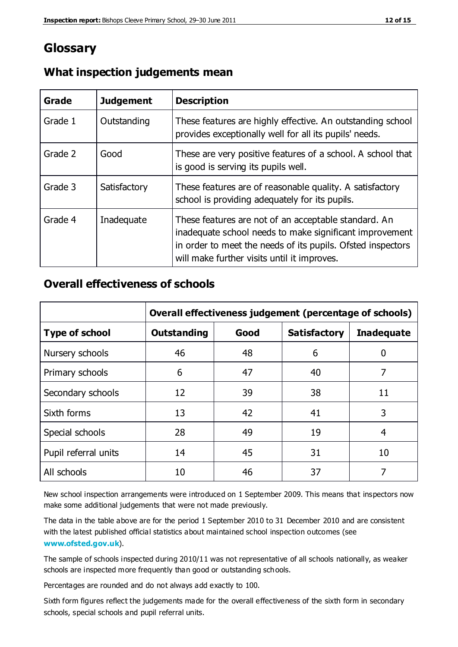## **Glossary**

| Grade   | <b>Judgement</b> | <b>Description</b>                                                                                                                                                                                                            |
|---------|------------------|-------------------------------------------------------------------------------------------------------------------------------------------------------------------------------------------------------------------------------|
| Grade 1 | Outstanding      | These features are highly effective. An outstanding school<br>provides exceptionally well for all its pupils' needs.                                                                                                          |
| Grade 2 | Good             | These are very positive features of a school. A school that<br>is good is serving its pupils well.                                                                                                                            |
| Grade 3 | Satisfactory     | These features are of reasonable quality. A satisfactory<br>school is providing adequately for its pupils.                                                                                                                    |
| Grade 4 | Inadequate       | These features are not of an acceptable standard. An<br>inadequate school needs to make significant improvement<br>in order to meet the needs of its pupils. Ofsted inspectors<br>will make further visits until it improves. |

#### **What inspection judgements mean**

### **Overall effectiveness of schools**

|                       | Overall effectiveness judgement (percentage of schools) |      |                     |                   |
|-----------------------|---------------------------------------------------------|------|---------------------|-------------------|
| <b>Type of school</b> | <b>Outstanding</b>                                      | Good | <b>Satisfactory</b> | <b>Inadequate</b> |
| Nursery schools       | 46                                                      | 48   | 6                   |                   |
| Primary schools       | 6                                                       | 47   | 40                  | 7                 |
| Secondary schools     | 12                                                      | 39   | 38                  | 11                |
| Sixth forms           | 13                                                      | 42   | 41                  | 3                 |
| Special schools       | 28                                                      | 49   | 19                  | 4                 |
| Pupil referral units  | 14                                                      | 45   | 31                  | 10                |
| All schools           | 10                                                      | 46   | 37                  |                   |

New school inspection arrangements were introduced on 1 September 2009. This means that inspectors now make some additional judgements that were not made previously.

The data in the table above are for the period 1 September 2010 to 31 December 2010 and are consistent with the latest published official statistics about maintained school inspection outcomes (see **[www.ofsted.gov.uk](http://www.ofsted.gov.uk/)**).

The sample of schools inspected during 2010/11 was not representative of all schools nationally, as weaker schools are inspected more frequently than good or outstanding schools.

Percentages are rounded and do not always add exactly to 100.

Sixth form figures reflect the judgements made for the overall effectiveness of the sixth form in secondary schools, special schools and pupil referral units.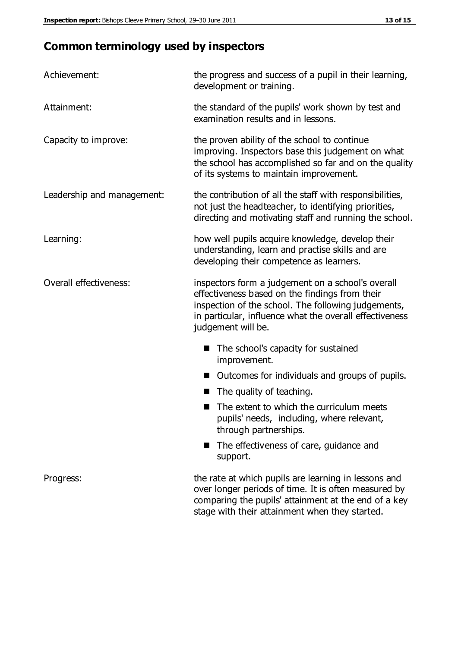# **Common terminology used by inspectors**

| Achievement:               | the progress and success of a pupil in their learning,<br>development or training.                                                                                                                                                          |  |  |
|----------------------------|---------------------------------------------------------------------------------------------------------------------------------------------------------------------------------------------------------------------------------------------|--|--|
| Attainment:                | the standard of the pupils' work shown by test and<br>examination results and in lessons.                                                                                                                                                   |  |  |
| Capacity to improve:       | the proven ability of the school to continue<br>improving. Inspectors base this judgement on what<br>the school has accomplished so far and on the quality<br>of its systems to maintain improvement.                                       |  |  |
| Leadership and management: | the contribution of all the staff with responsibilities,<br>not just the headteacher, to identifying priorities,<br>directing and motivating staff and running the school.                                                                  |  |  |
| Learning:                  | how well pupils acquire knowledge, develop their<br>understanding, learn and practise skills and are<br>developing their competence as learners.                                                                                            |  |  |
| Overall effectiveness:     | inspectors form a judgement on a school's overall<br>effectiveness based on the findings from their<br>inspection of the school. The following judgements,<br>in particular, influence what the overall effectiveness<br>judgement will be. |  |  |
|                            | The school's capacity for sustained<br>improvement.                                                                                                                                                                                         |  |  |
|                            | Outcomes for individuals and groups of pupils.                                                                                                                                                                                              |  |  |
|                            | The quality of teaching.                                                                                                                                                                                                                    |  |  |
|                            | The extent to which the curriculum meets<br>pupils' needs, including, where relevant,<br>through partnerships.                                                                                                                              |  |  |
|                            | The effectiveness of care, guidance and<br>support.                                                                                                                                                                                         |  |  |
| Progress:                  | the rate at which pupils are learning in lessons and<br>over longer periods of time. It is often measured by<br>comparing the pupils' attainment at the end of a key                                                                        |  |  |

stage with their attainment when they started.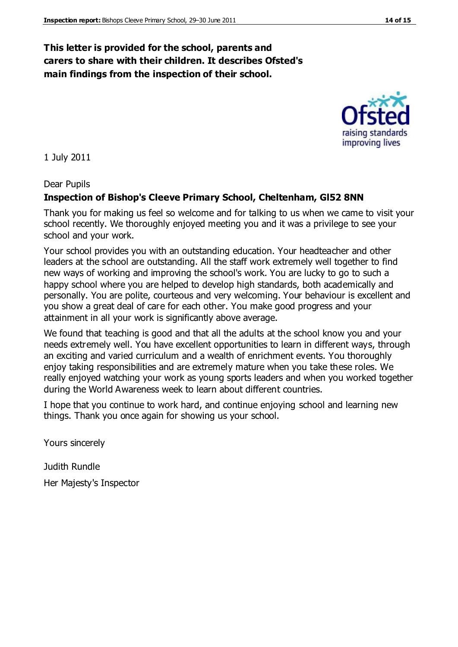#### **This letter is provided for the school, parents and carers to share with their children. It describes Ofsted's main findings from the inspection of their school.**

1 July 2011

#### Dear Pupils

#### **Inspection of Bishop's Cleeve Primary School, Cheltenham, Gl52 8NN**

Thank you for making us feel so welcome and for talking to us when we came to visit your school recently. We thoroughly enjoyed meeting you and it was a privilege to see your school and your work.

Your school provides you with an outstanding education. Your headteacher and other leaders at the school are outstanding. All the staff work extremely well together to find new ways of working and improving the school's work. You are lucky to go to such a happy school where you are helped to develop high standards, both academically and personally. You are polite, courteous and very welcoming. Your behaviour is excellent and you show a great deal of care for each other. You make good progress and your attainment in all your work is significantly above average.

We found that teaching is good and that all the adults at the school know you and your needs extremely well. You have excellent opportunities to learn in different ways, through an exciting and varied curriculum and a wealth of enrichment events. You thoroughly enjoy taking responsibilities and are extremely mature when you take these roles. We really enjoyed watching your work as young sports leaders and when you worked together during the World Awareness week to learn about different countries.

I hope that you continue to work hard, and continue enjoying school and learning new things. Thank you once again for showing us your school.

Yours sincerely

Judith Rundle

Her Majesty's Inspector